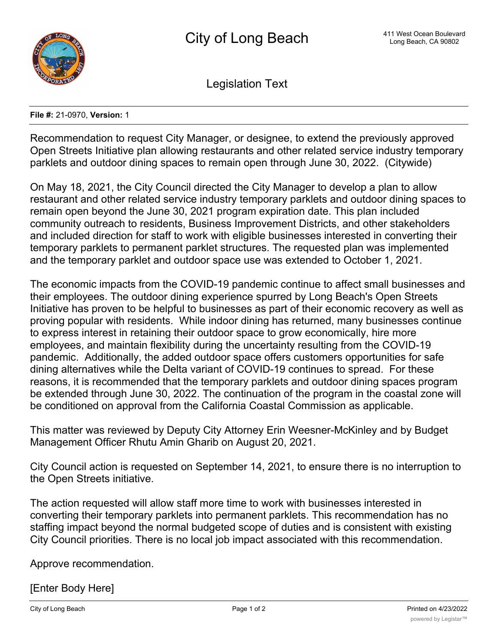

Legislation Text

**File #:** 21-0970, **Version:** 1

Recommendation to request City Manager, or designee, to extend the previously approved Open Streets Initiative plan allowing restaurants and other related service industry temporary parklets and outdoor dining spaces to remain open through June 30, 2022. (Citywide)

On May 18, 2021, the City Council directed the City Manager to develop a plan to allow restaurant and other related service industry temporary parklets and outdoor dining spaces to remain open beyond the June 30, 2021 program expiration date. This plan included community outreach to residents, Business Improvement Districts, and other stakeholders and included direction for staff to work with eligible businesses interested in converting their temporary parklets to permanent parklet structures. The requested plan was implemented and the temporary parklet and outdoor space use was extended to October 1, 2021.

The economic impacts from the COVID-19 pandemic continue to affect small businesses and their employees. The outdoor dining experience spurred by Long Beach's Open Streets Initiative has proven to be helpful to businesses as part of their economic recovery as well as proving popular with residents. While indoor dining has returned, many businesses continue to express interest in retaining their outdoor space to grow economically, hire more employees, and maintain flexibility during the uncertainty resulting from the COVID-19 pandemic. Additionally, the added outdoor space offers customers opportunities for safe dining alternatives while the Delta variant of COVID-19 continues to spread. For these reasons, it is recommended that the temporary parklets and outdoor dining spaces program be extended through June 30, 2022. The continuation of the program in the coastal zone will be conditioned on approval from the California Coastal Commission as applicable.

This matter was reviewed by Deputy City Attorney Erin Weesner-McKinley and by Budget Management Officer Rhutu Amin Gharib on August 20, 2021.

City Council action is requested on September 14, 2021, to ensure there is no interruption to the Open Streets initiative.

The action requested will allow staff more time to work with businesses interested in converting their temporary parklets into permanent parklets. This recommendation has no staffing impact beyond the normal budgeted scope of duties and is consistent with existing City Council priorities. There is no local job impact associated with this recommendation.

Approve recommendation.

[Enter Body Here]